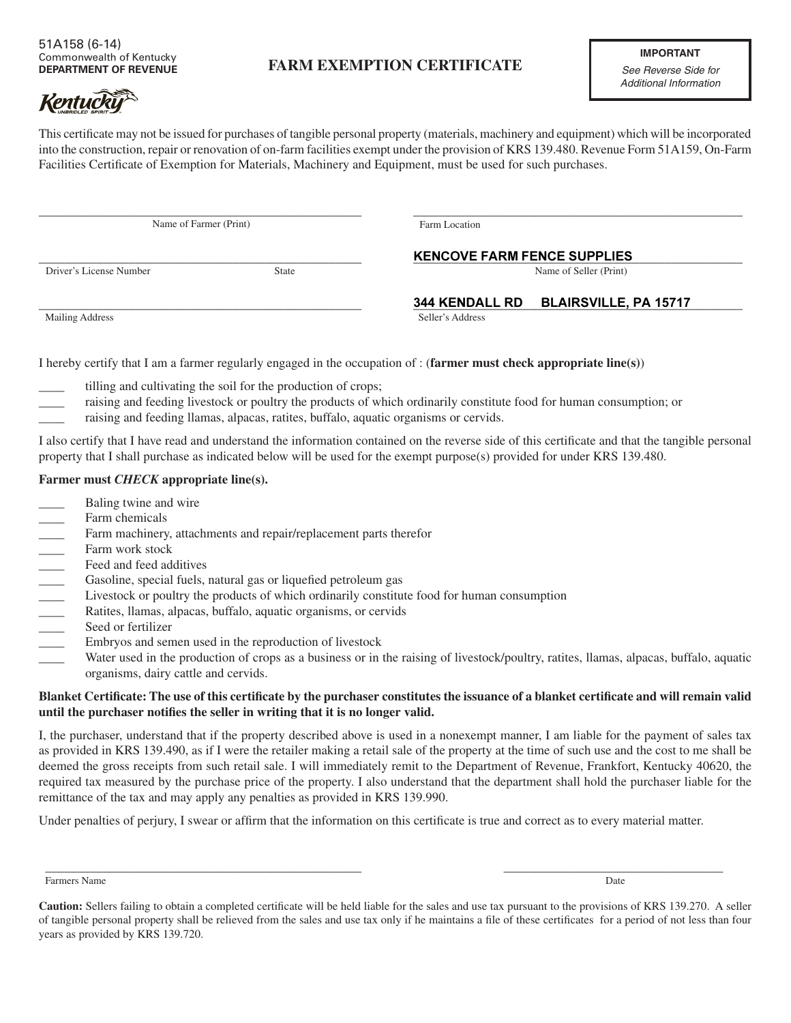## **FARM EXEMPTION CERTIFICATE**

This certificate may not be issued for purchases of tangible personal property (materials, machinery and equipment) which will be incorporated into the construction, repair or renovation of on-farm facilities exempt under the provision of KRS 139.480. Revenue Form 51A159, On-Farm Facilities Certificate of Exemption for Materials, Machinery and Equipment, must be used for such purchases.

| Name of Farmer (Print)  |              | Farm Location                        |
|-------------------------|--------------|--------------------------------------|
|                         |              | <b>KENCOVE FARM FENCE SUPPLIES</b>   |
| Driver's License Number | <b>State</b> | Name of Seller (Print)               |
|                         |              | 344 KENDALL RD BLAIRSVILLE, PA 15717 |
| Mailing Address         |              | Seller's Address                     |

I hereby certify that I am a farmer regularly engaged in the occupation of : (**farmer must check appropriate line(s)**)

- tilling and cultivating the soil for the production of crops;
- raising and feeding livestock or poultry the products of which ordinarily constitute food for human consumption; or
- raising and feeding llamas, alpacas, ratites, buffalo, aquatic organisms or cervids.

I also certify that I have read and understand the information contained on the reverse side of this certificate and that the tangible personal property that I shall purchase as indicated below will be used for the exempt purpose(s) provided for under KRS 139.480.

## **Farmer must** *CHECK* **appropriate line(s).**

- Baling twine and wire
- Farm chemicals
- 
- Farm work stock
- Feed and feed additives
- Gasoline, special fuels, natural gas or liquefied petroleum gas
- \_\_\_\_ Livestock or poultry the products of which ordinarily constitute food for human consumption
- \_\_\_\_ Ratites, llamas, alpacas, buffalo, aquatic organisms, or cervids
- Seed or fertilizer
- \_\_\_\_ Embryos and semen used in the reproduction of livestock
- Farm machinery, attachments and repair/replacement parts therefor<br>Farm work stock<br>Feed and feed additives<br>Gasoline, special fuels, natural gas or liquefied petroleum gas<br>Livestock or poultry the products of which ordinaril Water used in the production of crops as a business or in the raising of livestock/poultry, ratites, llamas, alpacas, buffalo, aquatic organisms, dairy cattle and cervids.

## **Blanket Certificate: The use of this certificate by the purchaser constitutes the issuance of a blanket certificate and will remain valid until the purchaser notifies the seller in writing that it is no longer valid.**

I, the purchaser, understand that if the property described above is used in a nonexempt manner, I am liable for the payment of sales tax as provided in KRS 139.490, as if I were the retailer making a retail sale of the property at the time of such use and the cost to me shall be deemed the gross receipts from such retail sale. I will immediately remit to the Department of Revenue, Frankfort, Kentucky 40620, the required tax measured by the purchase price of the property. I also understand that the department shall hold the purchaser liable for the remittance of the tax and may apply any penalties as provided in KRS 139.990.

Under penalties of perjury, I swear or affirm that the information on this certificate is true and correct as to every material matter.

\_\_\_\_\_\_\_\_\_\_\_\_\_\_\_\_\_\_\_\_\_\_\_\_\_\_\_\_\_\_\_\_\_\_\_\_\_\_\_\_\_\_\_\_\_\_\_\_\_ \_\_\_\_\_\_\_\_\_\_\_\_\_\_\_\_\_\_\_\_\_\_\_\_\_\_\_\_\_\_\_\_\_\_

Farmers Name Date by the United States of the United States of the United States of the United States of the United States of the United States of the United States of the United States of the United States of the United S

**Caution:** Sellers failing to obtain a completed certificate will be held liable for the sales and use tax pursuant to the provisions of KRS 139.270. A seller of tangible personal property shall be relieved from the sales and use tax only if he maintains a file of these certificates for a period of not less than four years as provided by KRS 139.720.